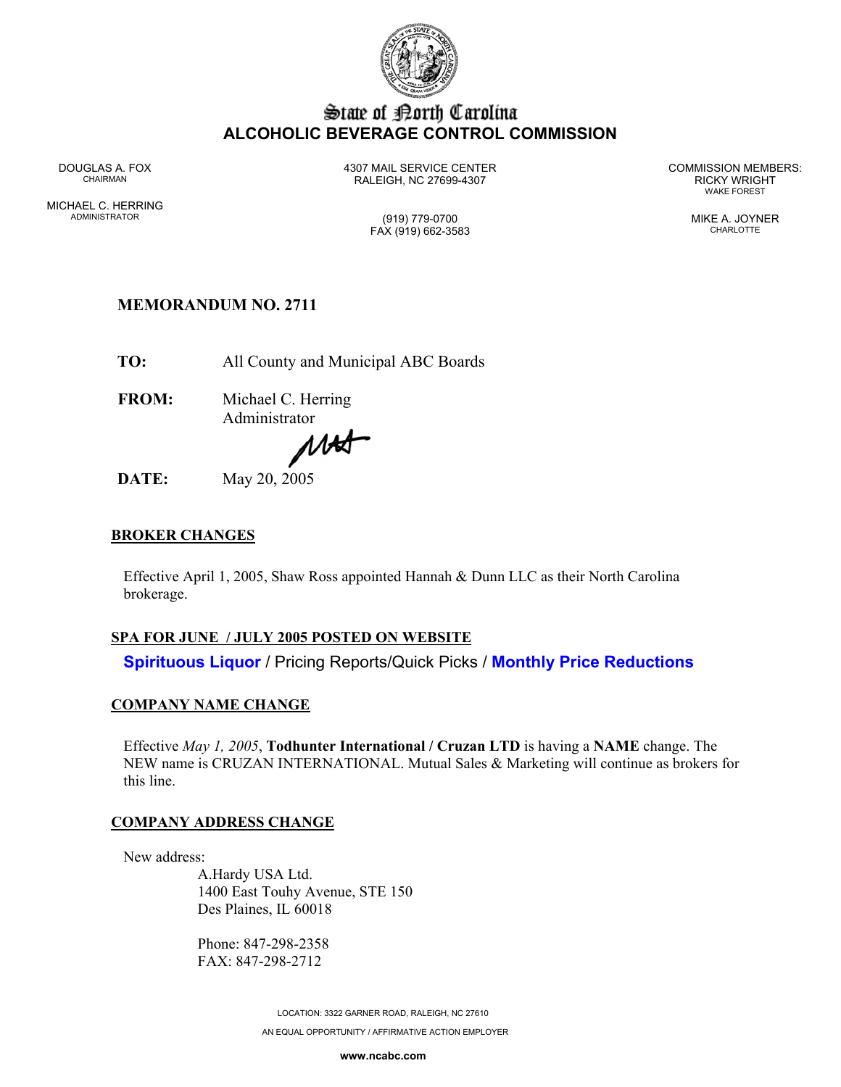

## State of Borth Carolina **ALCOHOLIC BEVERAGE CONTROL COMMISSION**

MICHAEL C. HERRING ADMINISTRATOR (919) 779-0700 MIKE A. JOYNER

DOUGLAS A. FOX 4307 MAIL SERVICE CENTER COMMISSION MEMBERS: CHAIRMAN RALEIGH, NC 27699-4307 RICKY WRIGHT

WAKE FOREST

FAX (919) 662-3583 CHARLOTTE

# **MEMORANDUM NO. 2711**

**TO:** All County and Municipal ABC Boards

**FROM:** Michael C. Herring Administrator

MAS

**DATE:** May 20, 2005

### **BROKER CHANGES**

Effective April 1, 2005, Shaw Ross appointed Hannah & Dunn LLC as their North Carolina brokerage.

### **SPA FOR JUNE / JULY 2005 POSTED ON WEBSITE**

**Spirituous Liquor** / Pricing Reports/Quick Picks / **Monthly Price Reductions** 

### **COMPANY NAME CHANGE**

Effective *May 1, 2005*, **Todhunter International / Cruzan LTD** is having a **NAME** change. The NEW name is CRUZAN INTERNATIONAL. Mutual Sales & Marketing will continue as brokers for this line.

### **COMPANY ADDRESS CHANGE**

New address:

A.Hardy USA Ltd. 1400 East Touhy Avenue, STE 150 Des Plaines, IL 60018

Phone: 847-298-2358 FAX: 847-298-2712

> LOCATION: 3322 GARNER ROAD, RALEIGH, NC 27610 AN EQUAL OPPORTUNITY / AFFIRMATIVE ACTION EMPLOYER